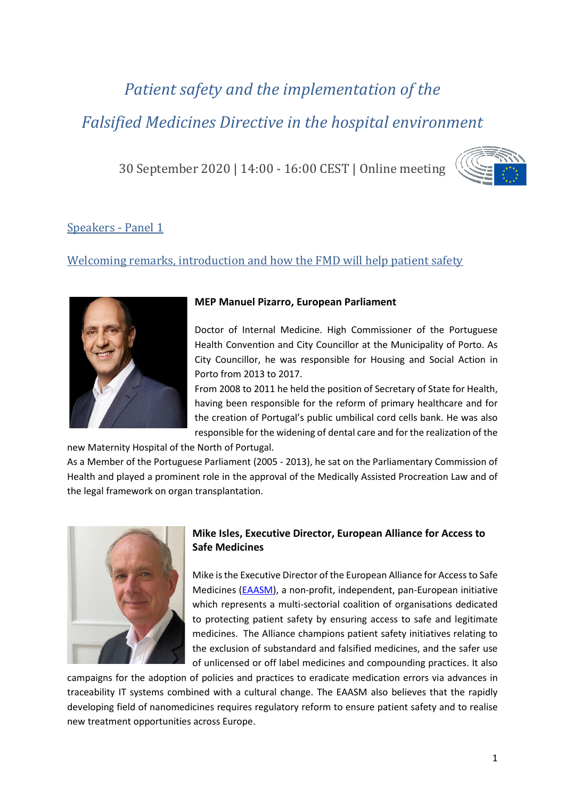# *Patient safety and the implementation of the Falsified Medicines Directive in the hospital environment*

30 September 2020 | 14:00 - 16:00 CEST | Online meeting



# Speakers - Panel 1

# Welcoming remarks, introduction and how the FMD will help patient safety



#### **MEP Manuel Pizarro, European Parliament**

Doctor of Internal Medicine. High Commissioner of the Portuguese Health Convention and City Councillor at the Municipality of Porto. As City Councillor, he was responsible for Housing and Social Action in Porto from 2013 to 2017.

From 2008 to 2011 he held the position of Secretary of State for Health, having been responsible for the reform of primary healthcare and for the creation of Portugal's public umbilical cord cells bank. He was also responsible for the widening of dental care and for the realization of the

new Maternity Hospital of the North of Portugal.

As a Member of the Portuguese Parliament (2005 - 2013), he sat on the Parliamentary Commission of Health and played a prominent role in the approval of the Medically Assisted Procreation Law and of the legal framework on organ transplantation.



#### **Mike Isles, Executive Director, European Alliance for Access to Safe Medicines**

Mike is the Executive Director of the European Alliance for Access to Safe Medicines [\(EAASM\)](https://eaasm.eu/en-gb/), a non-profit, independent, pan-European initiative which represents a multi-sectorial coalition of organisations dedicated to protecting patient safety by ensuring access to safe and legitimate medicines. The Alliance champions patient safety initiatives relating to the exclusion of substandard and falsified medicines, and the safer use of unlicensed or off label medicines and compounding practices. It also

campaigns for the adoption of policies and practices to eradicate medication errors via advances in traceability IT systems combined with a cultural change. The EAASM also believes that the rapidly developing field of nanomedicines requires regulatory reform to ensure patient safety and to realise new treatment opportunities across Europe.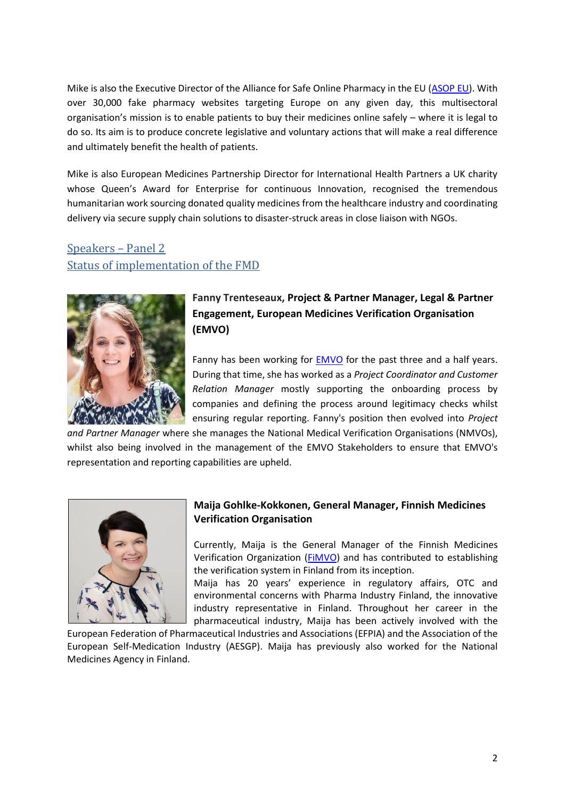Mike is also the Executive Director of the Alliance for Safe Online Pharmacy in the EU [\(ASOP EU\)](https://buysaferx.pharmacy/eu/). With over 30,000 fake pharmacy websites targeting Europe on any given day, this multisectoral organisation's mission is to enable patients to buy their medicines online safely – where it is legal to do so. Its aim is to produce concrete legislative and voluntary actions that will make a real difference and ultimately benefit the health of patients.

Mike is also European Medicines Partnership Director for International Health Partners a UK charity whose Queen's Award for Enterprise for continuous Innovation, recognised the tremendous humanitarian work sourcing donated quality medicines from the healthcare industry and coordinating delivery via secure supply chain solutions to disaster-struck areas in close liaison with NGOs.

# Speakers – Panel 2 Status of implementation of the FMD



# **Fanny Trenteseaux, Project & Partner Manager, Legal & Partner Engagement, European Medicines Verification Organisation (EMVO)**

Fanny has been working for **EMVO** for the past three and a half years. During that time, she has worked as a *Project Coordinator and Customer Relation Manager* mostly supporting the onboarding process by companies and defining the process around legitimacy checks whilst ensuring regular reporting. Fanny's position then evolved into *Project* 

*and Partner Manager* where she manages the National Medical Verification Organisations (NMVOs), whilst also being involved in the management of the EMVO Stakeholders to ensure that EMVO's representation and reporting capabilities are upheld.



#### **Maija Gohlke-Kokkonen, General Manager, Finnish Medicines Verification Organisation**

Currently, Maija is the General Manager of the Finnish Medicines Verification Organization [\(FiMVO\)](https://www.laakevarmennus.fi/) and has contributed to establishing the verification system in Finland from its inception.

Maija has 20 years' experience in regulatory affairs, OTC and environmental concerns with Pharma Industry Finland, the innovative industry representative in Finland. Throughout her career in the pharmaceutical industry, Maija has been actively involved with the

European Federation of Pharmaceutical Industries and Associations (EFPIA) and the Association of the European Self-Medication Industry (AESGP). Maija has previously also worked for the National Medicines Agency in Finland.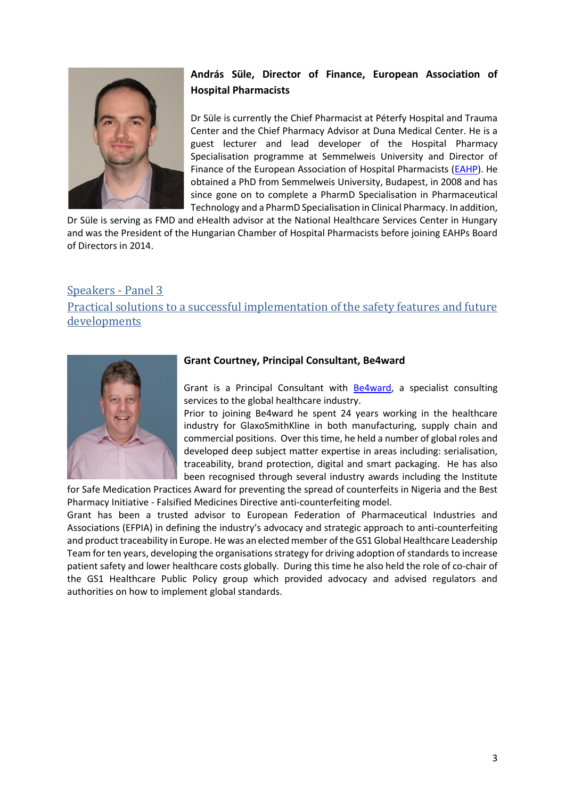

## **András Süle, Director of Finance, European Association of Hospital Pharmacists**

Dr Süle is currently the Chief Pharmacist at Péterfy Hospital and Trauma Center and the Chief Pharmacy Advisor at Duna Medical Center. He is a guest lecturer and lead developer of the Hospital Pharmacy Specialisation programme at Semmelweis University and Director of Finance of the European Association of Hospital Pharmacists [\(EAHP\)](https://www.eahp.eu/). He obtained a PhD from Semmelweis University, Budapest, in 2008 and has since gone on to complete a PharmD Specialisation in Pharmaceutical Technology and a PharmD Specialisation in Clinical Pharmacy. In addition,

Dr Süle is serving as FMD and eHealth advisor at the National Healthcare Services Center in Hungary and was the President of the Hungarian Chamber of Hospital Pharmacists before joining EAHPs Board of Directors in 2014.

### Speakers - Panel 3

Practical solutions to a successful implementation of the safety features and future developments



#### **Grant Courtney, Principal Consultant, Be4ward**

Grant is a Principal Consultant with [Be4ward,](http://www.be4ward.com/) a specialist consulting services to the global healthcare industry.

Prior to joining Be4ward he spent 24 years working in the healthcare industry for GlaxoSmithKline in both manufacturing, supply chain and commercial positions. Over this time, he held a number of global roles and developed deep subject matter expertise in areas including: serialisation, traceability, brand protection, digital and smart packaging. He has also been recognised through several industry awards including the Institute

for Safe Medication Practices Award for preventing the spread of counterfeits in Nigeria and the Best Pharmacy Initiative - Falsified Medicines Directive anti-counterfeiting model.

Grant has been a trusted advisor to European Federation of Pharmaceutical Industries and Associations (EFPIA) in defining the industry's advocacy and strategic approach to anti-counterfeiting and product traceability in Europe. He was an elected member of the GS1 Global Healthcare Leadership Team for ten years, developing the organisations strategy for driving adoption of standards to increase patient safety and lower healthcare costs globally. During this time he also held the role of co-chair of the GS1 Healthcare Public Policy group which provided advocacy and advised regulators and authorities on how to implement global standards.